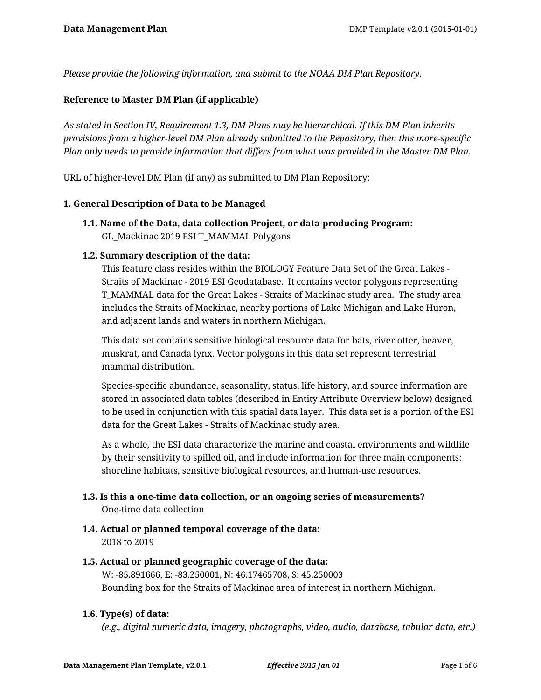*Please provide the following information, and submit to the NOAA DM Plan Repository.*

#### **Reference to Master DM Plan (if applicable)**

*As stated in Section IV, Requirement 1.3, DM Plans may be hierarchical. If this DM Plan inherits provisions from a higher-level DM Plan already submitted to the Repository, then this more-specific Plan only needs to provide information that differs from what was provided in the Master DM Plan.*

URL of higher-level DM Plan (if any) as submitted to DM Plan Repository:

#### **1. General Description of Data to be Managed**

**1.1. Name of the Data, data collection Project, or data-producing Program:** GL\_Mackinac 2019 ESI T\_MAMMAL Polygons

#### **1.2. Summary description of the data:**

This feature class resides within the BIOLOGY Feature Data Set of the Great Lakes - Straits of Mackinac - 2019 ESI Geodatabase. It contains vector polygons representing T\_MAMMAL data for the Great Lakes - Straits of Mackinac study area. The study area includes the Straits of Mackinac, nearby portions of Lake Michigan and Lake Huron, and adjacent lands and waters in northern Michigan.

This data set contains sensitive biological resource data for bats, river otter, beaver, muskrat, and Canada lynx. Vector polygons in this data set represent terrestrial mammal distribution.

Species-specific abundance, seasonality, status, life history, and source information are stored in associated data tables (described in Entity Attribute Overview below) designed to be used in conjunction with this spatial data layer. This data set is a portion of the ESI data for the Great Lakes - Straits of Mackinac study area.

As a whole, the ESI data characterize the marine and coastal environments and wildlife by their sensitivity to spilled oil, and include information for three main components: shoreline habitats, sensitive biological resources, and human-use resources.

- **1.3. Is this a one-time data collection, or an ongoing series of measurements?** One-time data collection
- **1.4. Actual or planned temporal coverage of the data:** 2018 to 2019
- **1.5. Actual or planned geographic coverage of the data:** W: -85.891666, E: -83.250001, N: 46.17465708, S: 45.250003 Bounding box for the Straits of Mackinac area of interest in northern Michigan.

## **1.6. Type(s) of data:**

*(e.g., digital numeric data, imagery, photographs, video, audio, database, tabular data, etc.)*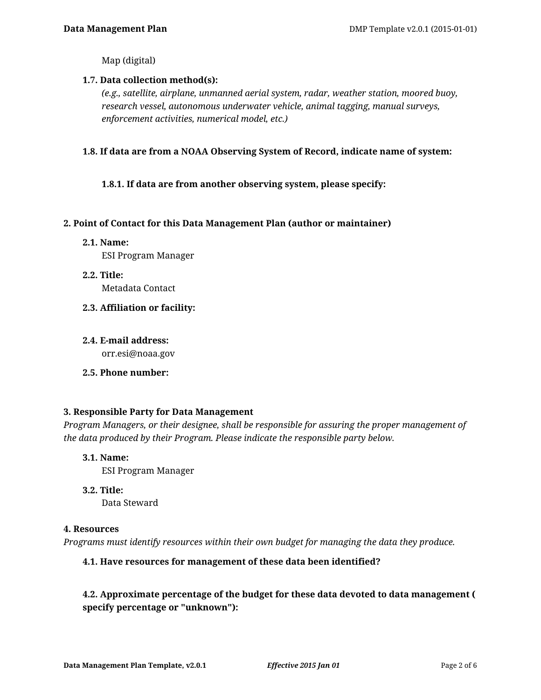Map (digital)

#### **1.7. Data collection method(s):**

*(e.g., satellite, airplane, unmanned aerial system, radar, weather station, moored buoy, research vessel, autonomous underwater vehicle, animal tagging, manual surveys, enforcement activities, numerical model, etc.)*

#### **1.8. If data are from a NOAA Observing System of Record, indicate name of system:**

## **1.8.1. If data are from another observing system, please specify:**

#### **2. Point of Contact for this Data Management Plan (author or maintainer)**

- **2.1. Name:** ESI Program Manager
- **2.2. Title:** Metadata Contact
- **2.3. Affiliation or facility:**
- **2.4. E-mail address:** orr.esi@noaa.gov

## **2.5. Phone number:**

#### **3. Responsible Party for Data Management**

*Program Managers, or their designee, shall be responsible for assuring the proper management of the data produced by their Program. Please indicate the responsible party below.*

## **3.1. Name:**

ESI Program Manager

## **3.2. Title:**

Data Steward

#### **4. Resources**

*Programs must identify resources within their own budget for managing the data they produce.*

## **4.1. Have resources for management of these data been identified?**

# **4.2. Approximate percentage of the budget for these data devoted to data management ( specify percentage or "unknown"):**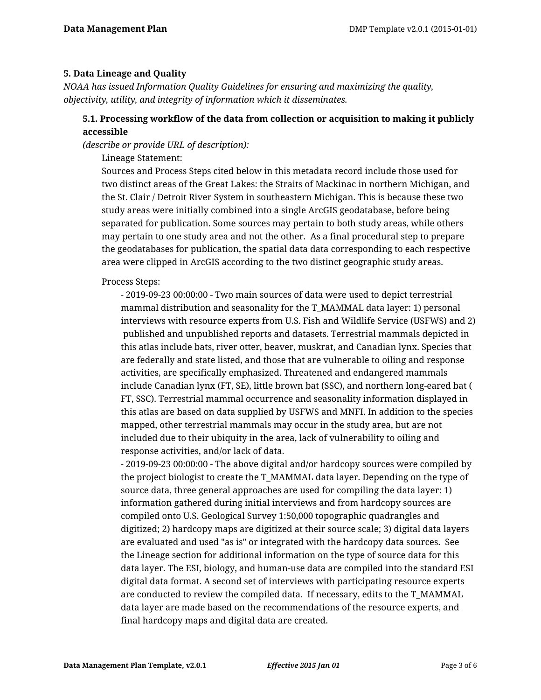#### **5. Data Lineage and Quality**

*NOAA has issued Information Quality Guidelines for ensuring and maximizing the quality, objectivity, utility, and integrity of information which it disseminates.*

## **5.1. Processing workflow of the data from collection or acquisition to making it publicly accessible**

*(describe or provide URL of description):*

Lineage Statement:

Sources and Process Steps cited below in this metadata record include those used for two distinct areas of the Great Lakes: the Straits of Mackinac in northern Michigan, and the St. Clair / Detroit River System in southeastern Michigan. This is because these two study areas were initially combined into a single ArcGIS geodatabase, before being separated for publication. Some sources may pertain to both study areas, while others may pertain to one study area and not the other. As a final procedural step to prepare the geodatabases for publication, the spatial data data corresponding to each respective area were clipped in ArcGIS according to the two distinct geographic study areas.

Process Steps:

- 2019-09-23 00:00:00 - Two main sources of data were used to depict terrestrial mammal distribution and seasonality for the T\_MAMMAL data layer: 1) personal interviews with resource experts from U.S. Fish and Wildlife Service (USFWS) and 2) published and unpublished reports and datasets. Terrestrial mammals depicted in this atlas include bats, river otter, beaver, muskrat, and Canadian lynx. Species that are federally and state listed, and those that are vulnerable to oiling and response activities, are specifically emphasized. Threatened and endangered mammals include Canadian lynx (FT, SE), little brown bat (SSC), and northern long-eared bat ( FT, SSC). Terrestrial mammal occurrence and seasonality information displayed in this atlas are based on data supplied by USFWS and MNFI. In addition to the species mapped, other terrestrial mammals may occur in the study area, but are not included due to their ubiquity in the area, lack of vulnerability to oiling and response activities, and/or lack of data.

- 2019-09-23 00:00:00 - The above digital and/or hardcopy sources were compiled by the project biologist to create the T\_MAMMAL data layer. Depending on the type of source data, three general approaches are used for compiling the data layer: 1) information gathered during initial interviews and from hardcopy sources are compiled onto U.S. Geological Survey 1:50,000 topographic quadrangles and digitized; 2) hardcopy maps are digitized at their source scale; 3) digital data layers are evaluated and used "as is" or integrated with the hardcopy data sources. See the Lineage section for additional information on the type of source data for this data layer. The ESI, biology, and human-use data are compiled into the standard ESI digital data format. A second set of interviews with participating resource experts are conducted to review the compiled data. If necessary, edits to the T\_MAMMAL data layer are made based on the recommendations of the resource experts, and final hardcopy maps and digital data are created.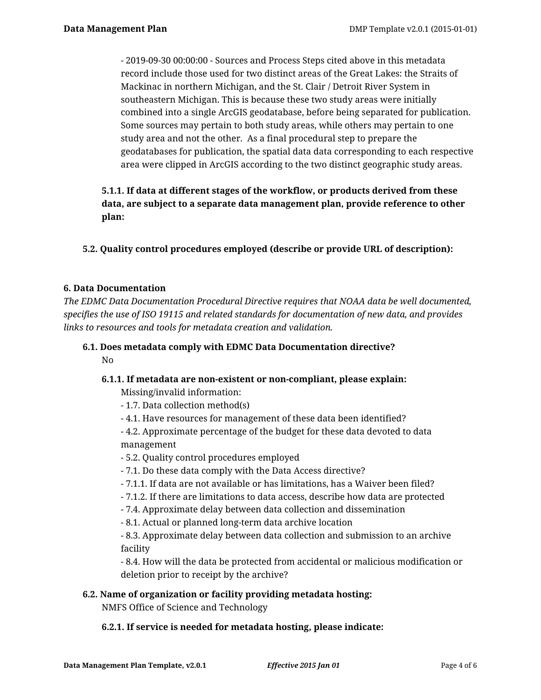- 2019-09-30 00:00:00 - Sources and Process Steps cited above in this metadata record include those used for two distinct areas of the Great Lakes: the Straits of Mackinac in northern Michigan, and the St. Clair / Detroit River System in southeastern Michigan. This is because these two study areas were initially combined into a single ArcGIS geodatabase, before being separated for publication. Some sources may pertain to both study areas, while others may pertain to one study area and not the other. As a final procedural step to prepare the geodatabases for publication, the spatial data data corresponding to each respective area were clipped in ArcGIS according to the two distinct geographic study areas.

# **5.1.1. If data at different stages of the workflow, or products derived from these data, are subject to a separate data management plan, provide reference to other plan:**

**5.2. Quality control procedures employed (describe or provide URL of description):**

## **6. Data Documentation**

*The EDMC Data Documentation Procedural Directive requires that NOAA data be well documented, specifies the use of ISO 19115 and related standards for documentation of new data, and provides links to resources and tools for metadata creation and validation.*

#### **6.1. Does metadata comply with EDMC Data Documentation directive?** No

## **6.1.1. If metadata are non-existent or non-compliant, please explain:**

Missing/invalid information:

- 1.7. Data collection method(s)
- 4.1. Have resources for management of these data been identified?
- 4.2. Approximate percentage of the budget for these data devoted to data management
- 5.2. Quality control procedures employed
- 7.1. Do these data comply with the Data Access directive?
- 7.1.1. If data are not available or has limitations, has a Waiver been filed?
- 7.1.2. If there are limitations to data access, describe how data are protected
- 7.4. Approximate delay between data collection and dissemination
- 8.1. Actual or planned long-term data archive location

- 8.3. Approximate delay between data collection and submission to an archive facility

- 8.4. How will the data be protected from accidental or malicious modification or deletion prior to receipt by the archive?

## **6.2. Name of organization or facility providing metadata hosting:**

NMFS Office of Science and Technology

## **6.2.1. If service is needed for metadata hosting, please indicate:**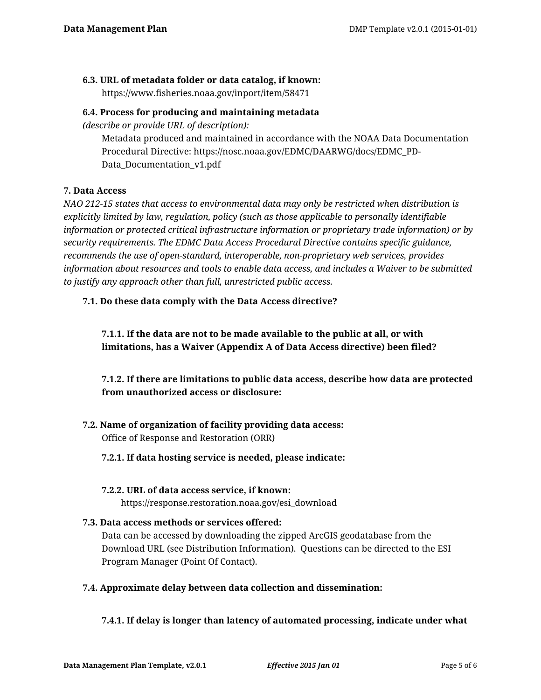## **6.3. URL of metadata folder or data catalog, if known:**

https://www.fisheries.noaa.gov/inport/item/58471

#### **6.4. Process for producing and maintaining metadata**

*(describe or provide URL of description):*

Metadata produced and maintained in accordance with the NOAA Data Documentation Procedural Directive: https://nosc.noaa.gov/EDMC/DAARWG/docs/EDMC\_PD-Data\_Documentation\_v1.pdf

## **7. Data Access**

*NAO 212-15 states that access to environmental data may only be restricted when distribution is explicitly limited by law, regulation, policy (such as those applicable to personally identifiable information or protected critical infrastructure information or proprietary trade information) or by security requirements. The EDMC Data Access Procedural Directive contains specific guidance, recommends the use of open-standard, interoperable, non-proprietary web services, provides information about resources and tools to enable data access, and includes a Waiver to be submitted to justify any approach other than full, unrestricted public access.*

## **7.1. Do these data comply with the Data Access directive?**

**7.1.1. If the data are not to be made available to the public at all, or with limitations, has a Waiver (Appendix A of Data Access directive) been filed?**

**7.1.2. If there are limitations to public data access, describe how data are protected from unauthorized access or disclosure:**

# **7.2. Name of organization of facility providing data access:**

Office of Response and Restoration (ORR)

## **7.2.1. If data hosting service is needed, please indicate:**

#### **7.2.2. URL of data access service, if known:**

https://response.restoration.noaa.gov/esi\_download

## **7.3. Data access methods or services offered:**

Data can be accessed by downloading the zipped ArcGIS geodatabase from the Download URL (see Distribution Information). Questions can be directed to the ESI Program Manager (Point Of Contact).

## **7.4. Approximate delay between data collection and dissemination:**

## **7.4.1. If delay is longer than latency of automated processing, indicate under what**